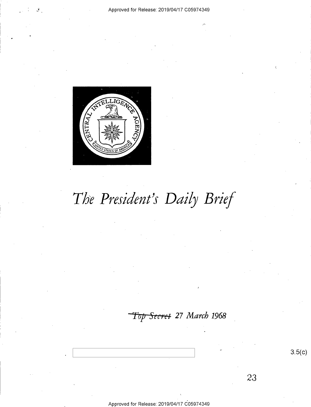

# The President's Daily Brief

Top Secret 27 March 1968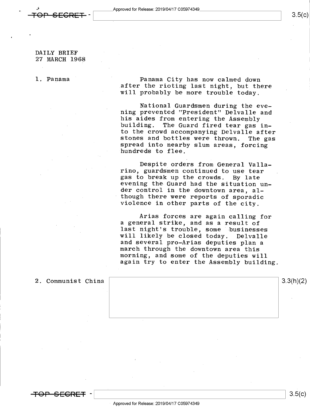### DAILY BRIEF 27 MARCH 1968

l. Panama Panama City has now calmed down<br>after the rioting last night, but there<br>will probably be more trouble today.

National Guardsmen during the evehis aides from entering the Assembly<br>building. The Guard fired tear gas in-<br>to the crowd accompanying Delvalle after stones and bottles were thrown. The gas<br>spread into nearby slum areas, forcing<br>hundreds to flee.

Despite orders from General Valla-<br>rino, guardsmen continued to use tear gas to break up the crowds. By late<br>evening the Guard had the situation un-<br>der control in the downtown area, al-- though there were reports of sporadic violence in other parts of the city.

Arias forces are again calling for a general strike, and as a result of last night's trouble, some businesses<br>will likely be closed today. Delvalle and several pro-Arias will likely be closed today. Delvalle march through the downtown area this<br>morning, and some of the deputies will again try to enter the Assembly building.

2. Communist China  $\vert$  3.3(h)(2)

<del>OP SEGRET</del> -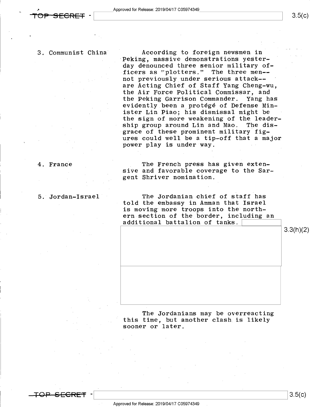$3.5(c)$ 

3. Communist China" According to foreign newsmen in Peking, massive demonstrations yesterday denounced three senior military officers as "plotters." The three men- not previously under serious attack-are Acting Chief of Staff Yang Cheng-wu, the Air Force Political Commissar, and the Peking Garrison Commander. Yang has evidently been a\_protégé of Defense Minister Lin Piao; his dismissal might be the sign of more weakening of the leader-<br>ship group around Lin and Mao. The disship group around Lin and Mao. »grace of these prominent military figures could well be a tip—off that a major power play is under way.

4. France The French press has given extensive and favorable coverage to the Sar- , gent Shriver nomination.

5. Jordan-Israel The Jordanian chief of staff has told the embassy in Amman that Israel is moving more troops into the northern section of the border, including an additional battalion of tanks.

3.3(h)(2)

The Jordanians may be overreacting this time, but another clash is likely sooner or later.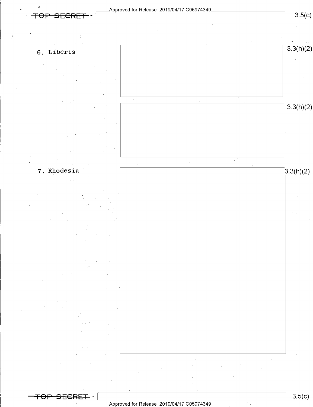╤⊖

Approved for Release: 2019/04/17 C05974349\_

 $3.5(c)$ 





7. Rhodesia





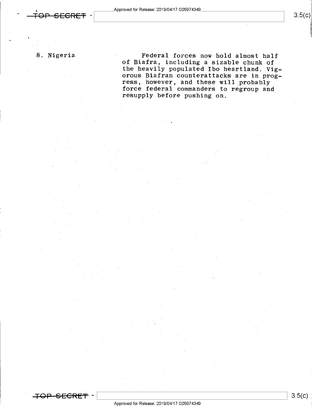"

 $3.5(c)$ 

8. Nigeria  $\qquad \qquad$  Federal forces now hold almost half of Biafra, including a sizable chunk of the heavily populated Ibo heartland. Vigorous Biafran counterattacks are in prog-<br>ress, however, and these will probably force federal commanders to regroup and resupply before pushing on.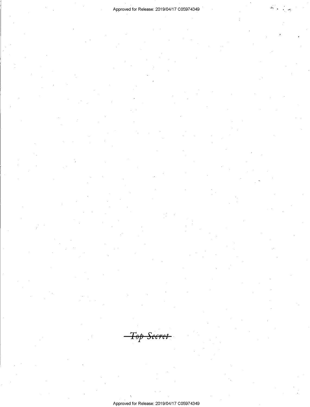-Top Secret

 $\lambda$  . The contract of the contract of the contract of the contract of the contract of the contract of the contract of the contract of the contract of the contract of the contract of the contract of the contract of the co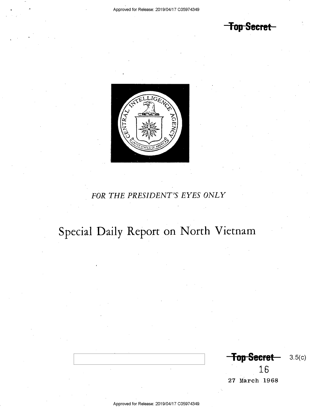<del>Top Secret</del>



## FOR THE PRESIDENT'S EYES ONLY

# Special Daily Report on North Vietnam

Top Secret— 3.5(c) 16

27 March 1968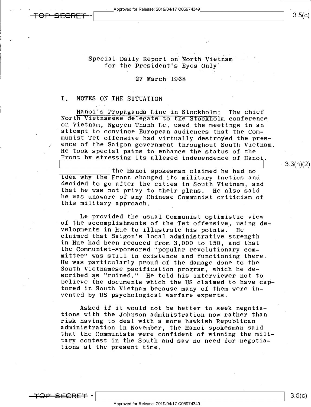$3.5(c)$ 

### Special Daily Report on North Vietnam for the President's Eyes Only'

### 27 March 1968

## I. NOTES ON THE SITUATION

Hanoi's Propaganda Line in Stockholm: The chief<br>North Vietnamese delegate to the Stockholm conference<br>on Vietnam, Nguyen Thanh Le, used the meetings in an<br>attempt to convince European audiences that the Com-<br>munist Tet off He took special pains to enhance the status of the<br>Front by stressing its alleged independence of Hanoi.

the Hanoi spokesman claimed he had no<br>idea why the Front changed its military tactics and<br>decided to go after the cities in South Vietnam, and<br>that he was not privy to their plans. He also said he was unaware of any Chinese Communist criticism of this military approach.

Le provided the usual Communist optimistic view<br>of the accomplishments of the Tet offensive, using developments in Hue to illustrate his points. He<br>claimed that Saigon's local administrative strength<br>in Hue had been reduced from 3,000 to 150, and that the Communist-sponsored "popular revolutionary com-<br>mittee" was still in existence and functioning there.<br>He was particularly proud of the damage done to the South Vietnamese pacification program, which he de-<br>scribed as "ruined." He told his interviewer not to<br>believe the documents which the US claimed to have cap-<br>tured in South Vietnam because many of them were invented by US psychological warfare experts.

Asked if it would not be better to seek negotia-<br>tions with the Johnson administration now rather than risk having to deal with a more hawkish Republican<br>administration in November, the Hanoi spokesman said that the Communists were confident of winning the mili tary contest in the South and saw no need for negotiations at the present time.

3.3(h)(2)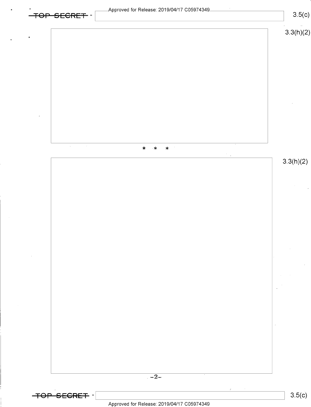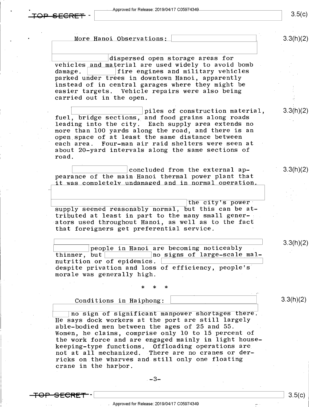- Approved for Release: 2019/04/17 C05974349



 $3.5(c)$ 

More Hanoi Observations: \ w.  $3.3(h)(2)$ dispersed open storage areas for vehicles and material are used widely to avoid bomb<br>damage.  $\begin{array}{|l|} \hline \text{there exists} & \text{if } \hline \end{array}$ fire engines and military vehicles parked under trees in downtown Hanoi, apparently instead of in central garages where they might be easier targets. Vehicle repairs were also being carried out in the open. piles of construction material,  $3.3(h)(2)$ fuel, bridge sections, and food grains along roads leading into the city. Each supply area extends no more than 100 yards along the road, and there is an open space of at least the same distance between each area. Four-man air raid shelters were seen at about 20-yard intervals along the same sections of road. concluded from the external ap-3.3(h)(2) pearance of the main Hanoi thermal power plant that it was completely undamaged and in normal operation.  $\frac{1}{\text{the city's power}}$ supply seemed reasonably normal, but this can be at tributed at least in part to the many small generators used throughout Hanoi, as well as to the fact that foreigners get preferential service. people in Hanoi are becoming noticeably 3.3(h)(2)<br>thinner, but and in Signs of large-scale mal- $\begin{smallmatrix} \end{smallmatrix}$ no signs of large-scale malnutrition or of epidemics. despite privation and loss of efficiency, people's' morale was generally high. \* \* \*  $\epsilon=\epsilon\gamma$ Conditions in Haiphong:  $\vert$  3.3(h)(2) \ no sign of significant manpower shortages there. He says dock workers at the port are still largely able-bodied men between the ages of 25 and 55. . Women, he claims, comprise only l0 to l5 percent of the work force and are engaged mainly in light housekeeping-type functions. Offloading operations are not at all mechanized. There are no cranes or derricks on the wharves and still only one floating crane in the harbor.

 $-3-$ 

<del>FOP SECRET</del> –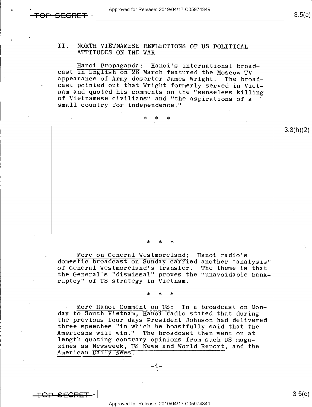٠

3.3(h)(2)

## II. NORTH VIETNAMESE REFLECTIONS OF US POLITICAL ATTITUDES ON THE WAR

Hanoi Propaganda: Hanoi's international broad-<br>cast In English on 26 March featured the Moscow TV<br>appearance of Army deserter James Wright. The broad-<br>cast pointed out that Wright formerly served in Viet-<br>nam and quoted hi

- >k \* \*

\* \* \*

More on General Westmoreland: Hanoi radio's<br>domestic broadcast on Sunday carried another "analysis"<br>of General Westmoreland's transfer. The theme is that of General Westmoreland's transfer. The theme is that the General's "dismissal" proves the "unavoidable bank- ruptcy" of US strategy in Vietnam.

\* \* \* .

More Hanoi Comment on US: In a broadcast on Monday to South Vietnam, Hanoi radio stated that during<br>the previous four days President Johnson had delivered three speeches "in which he boastfully said that the<br>Americans will win." The broadcast then went on at length quoting contrary opinions from such US magazines as Newsweek, US News and World Report, and the American Daily News.

 $-4-$ 

\ \ 3-5(6)